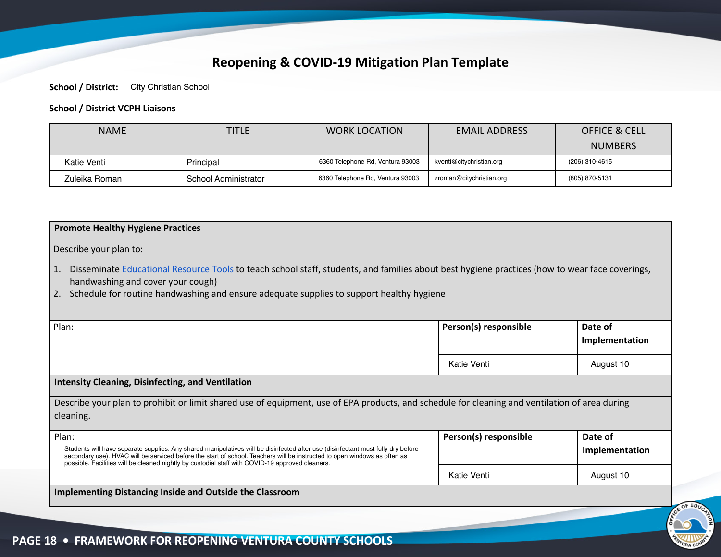## **Reopening & COVID-19 Mitigation Plan Template**

**School / District:** City Christian School

## **School / District VCPH Liaisons**

| <b>NAME</b>   | <b>TITLE</b>         | <b>WORK LOCATION</b>             | <b>EMAIL ADDRESS</b>     | <b>OFFICE &amp; CELL</b> |
|---------------|----------------------|----------------------------------|--------------------------|--------------------------|
|               |                      |                                  |                          | <b>NUMBERS</b>           |
| Katie Venti   | Principal            | 6360 Telephone Rd, Ventura 93003 | kventi@citychristian.org | (206) 310-4615           |
| Zuleika Roman | School Administrator | 6360 Telephone Rd, Ventura 93003 | zroman@citychristian.org | (805) 870-5131           |

| <b>Promote Healthy Hygiene Practices</b>                                                                                                                                                                                                                                                                                                                                   |                       |                           |
|----------------------------------------------------------------------------------------------------------------------------------------------------------------------------------------------------------------------------------------------------------------------------------------------------------------------------------------------------------------------------|-----------------------|---------------------------|
| Describe your plan to:                                                                                                                                                                                                                                                                                                                                                     |                       |                           |
| Disseminate Educational Resource Tools to teach school staff, students, and families about best hygiene practices (how to wear face coverings,<br>1.<br>handwashing and cover your cough)<br>Schedule for routine handwashing and ensure adequate supplies to support healthy hygiene<br>2.                                                                                |                       |                           |
| Plan:                                                                                                                                                                                                                                                                                                                                                                      | Person(s) responsible | Date of                   |
|                                                                                                                                                                                                                                                                                                                                                                            |                       | Implementation            |
|                                                                                                                                                                                                                                                                                                                                                                            | Katie Venti           | August 10                 |
| <b>Intensity Cleaning, Disinfecting, and Ventilation</b>                                                                                                                                                                                                                                                                                                                   |                       |                           |
| Describe your plan to prohibit or limit shared use of equipment, use of EPA products, and schedule for cleaning and ventilation of area during                                                                                                                                                                                                                             |                       |                           |
| cleaning.                                                                                                                                                                                                                                                                                                                                                                  |                       |                           |
| Plan:<br>Students will have separate supplies. Any shared manipulatives will be disinfected after use (disinfectant must fully dry before<br>secondary use). HVAC will be serviced before the start of school. Teachers will be instructed to open windows as often as<br>possible. Facilities will be cleaned nightly by custodial staff with COVID-19 approved cleaners. | Person(s) responsible | Date of<br>Implementation |
|                                                                                                                                                                                                                                                                                                                                                                            | Katie Venti           | August 10                 |
| <b>Implementing Distancing Inside and Outside the Classroom</b>                                                                                                                                                                                                                                                                                                            |                       |                           |

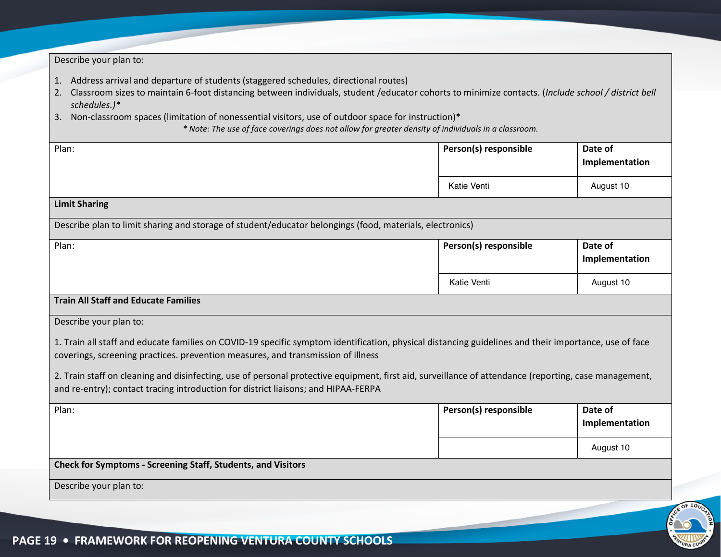| Describe your plan to:                                                                                                                                                                                                                                                                                                                                                                                                                                                                                             |                       |                           |
|--------------------------------------------------------------------------------------------------------------------------------------------------------------------------------------------------------------------------------------------------------------------------------------------------------------------------------------------------------------------------------------------------------------------------------------------------------------------------------------------------------------------|-----------------------|---------------------------|
| 1. Address arrival and departure of students (staggered schedules, directional routes)<br>2. Classroom sizes to maintain 6-foot distancing between individuals, student /educator cohorts to minimize contacts. (Include school / district bell<br>schedules.)*<br>Non-classroom spaces (limitation of nonessential visitors, use of outdoor space for instruction)*<br>3.<br>* Note: The use of face coverings does not allow for greater density of individuals in a classroom.                                  |                       |                           |
| Plan:                                                                                                                                                                                                                                                                                                                                                                                                                                                                                                              | Person(s) responsible | Date of<br>Implementation |
|                                                                                                                                                                                                                                                                                                                                                                                                                                                                                                                    | Katie Venti           | August 10                 |
| <b>Limit Sharing</b>                                                                                                                                                                                                                                                                                                                                                                                                                                                                                               |                       |                           |
| Describe plan to limit sharing and storage of student/educator belongings (food, materials, electronics)                                                                                                                                                                                                                                                                                                                                                                                                           |                       |                           |
| Plan:                                                                                                                                                                                                                                                                                                                                                                                                                                                                                                              | Person(s) responsible | Date of<br>Implementation |
|                                                                                                                                                                                                                                                                                                                                                                                                                                                                                                                    | Katie Venti           | August 10                 |
| <b>Train All Staff and Educate Families</b>                                                                                                                                                                                                                                                                                                                                                                                                                                                                        |                       |                           |
| Describe your plan to:<br>1. Train all staff and educate families on COVID-19 specific symptom identification, physical distancing guidelines and their importance, use of face<br>coverings, screening practices. prevention measures, and transmission of illness<br>2. Train staff on cleaning and disinfecting, use of personal protective equipment, first aid, surveillance of attendance (reporting, case management,<br>and re-entry); contact tracing introduction for district liaisons; and HIPAA-FERPA |                       |                           |
| Plan:                                                                                                                                                                                                                                                                                                                                                                                                                                                                                                              | Person(s) responsible | Date of<br>Implementation |
|                                                                                                                                                                                                                                                                                                                                                                                                                                                                                                                    |                       | August 10                 |
| <b>Check for Symptoms - Screening Staff, Students, and Visitors</b>                                                                                                                                                                                                                                                                                                                                                                                                                                                |                       |                           |
| Describe your plan to:                                                                                                                                                                                                                                                                                                                                                                                                                                                                                             |                       |                           |

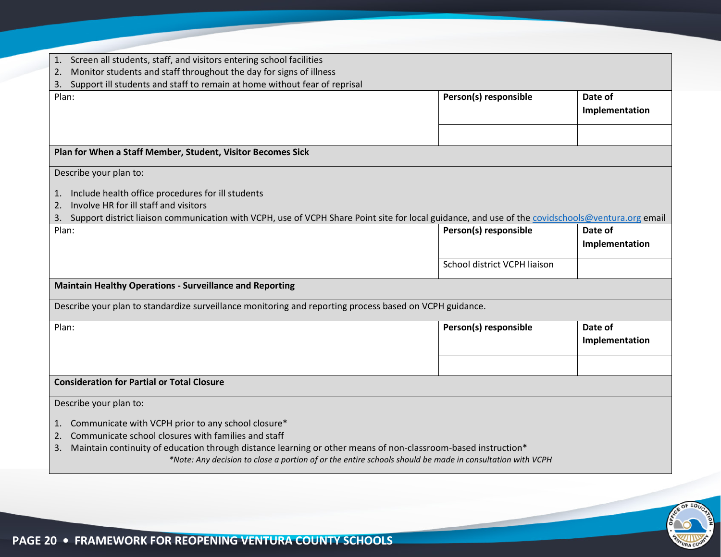| Screen all students, staff, and visitors entering school facilities<br>1.                                                                              |                              |                |
|--------------------------------------------------------------------------------------------------------------------------------------------------------|------------------------------|----------------|
| Monitor students and staff throughout the day for signs of illness<br>2.<br>Support ill students and staff to remain at home without fear of reprisal  |                              |                |
| 3.<br>Plan:                                                                                                                                            | Person(s) responsible        | Date of        |
|                                                                                                                                                        |                              | Implementation |
|                                                                                                                                                        |                              |                |
|                                                                                                                                                        |                              |                |
| Plan for When a Staff Member, Student, Visitor Becomes Sick                                                                                            |                              |                |
| Describe your plan to:                                                                                                                                 |                              |                |
| Include health office procedures for ill students<br>1.                                                                                                |                              |                |
| Involve HR for ill staff and visitors<br>2.                                                                                                            |                              |                |
| Support district liaison communication with VCPH, use of VCPH Share Point site for local guidance, and use of the covidschools@ventura.org email<br>3. |                              |                |
| Plan:                                                                                                                                                  | Person(s) responsible        | Date of        |
|                                                                                                                                                        |                              | Implementation |
|                                                                                                                                                        | School district VCPH liaison |                |
| <b>Maintain Healthy Operations - Surveillance and Reporting</b>                                                                                        |                              |                |
| Describe your plan to standardize surveillance monitoring and reporting process based on VCPH guidance.                                                |                              |                |
| Plan:                                                                                                                                                  | Person(s) responsible        | Date of        |
|                                                                                                                                                        |                              | Implementation |
|                                                                                                                                                        |                              |                |
| <b>Consideration for Partial or Total Closure</b>                                                                                                      |                              |                |
| Describe your plan to:                                                                                                                                 |                              |                |
| Communicate with VCPH prior to any school closure*<br>1.                                                                                               |                              |                |
| Communicate school closures with families and staff<br>2.                                                                                              |                              |                |
| Maintain continuity of education through distance learning or other means of non-classroom-based instruction*<br>3.                                    |                              |                |
| *Note: Any decision to close a portion of or the entire schools should be made in consultation with VCPH                                               |                              |                |